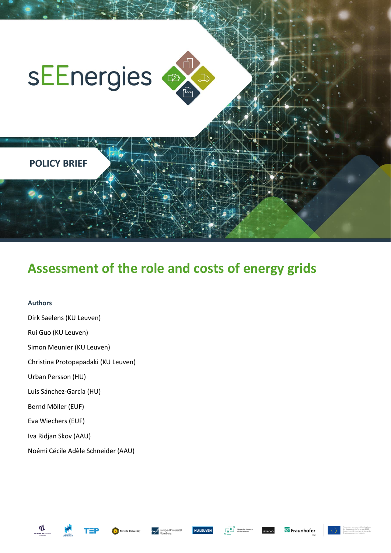

# **Assessment of the role and costs of energy grids**

#### **Authors**

Dirk Saelens (KU Leuven) Rui Guo (KU Leuven) Simon Meunier (KU Leuven) Christina Protopapadaki (KU Leuven) Urban Persson (HU) Luis Sánchez-García (HU) Bernd Möller (EUF) Eva Wiechers (EUF) Iva Ridjan Skov (AAU) Noémi Cécile Adèle Schneider (AAU)





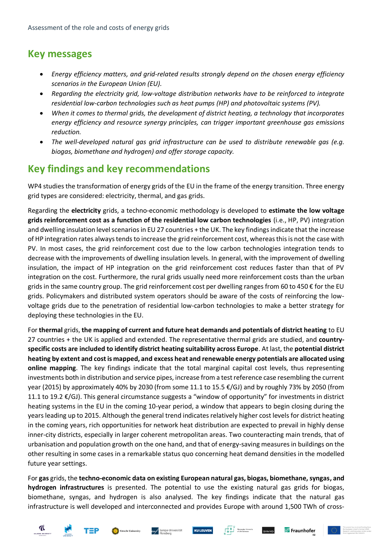## **Key messages**

- *Energy efficiency matters, and grid-related results strongly depend on the chosen energy efficiency scenarios in the European Union (EU).*
- *Regarding the electricity grid, low-voltage distribution networks have to be reinforced to integrate residential low-carbon technologies such as heat pumps (HP) and photovoltaic systems (PV).*
- *When it comes to thermal grids, the development of district heating, a technology that incorporates energy efficiency and resource synergy principles, can trigger important greenhouse gas emissions reduction.*
- *The well-developed natural gas grid infrastructure can be used to distribute renewable gas (e.g. biogas, biomethane and hydrogen) and offer storage capacity.*

## **Key findings and key recommendations**

WP4 studies the transformation of energy grids of the EU in the frame of the energy transition. Three energy grid types are considered: electricity, thermal, and gas grids.

Regarding the **electricity** grids, a techno-economic methodology is developed to **estimate the low voltage grids reinforcement cost as a function of the residential low carbon technologies** (i.e., HP, PV) integration and dwelling insulation level scenariosin EU 27 countries + the UK. The key findings indicate that the increase of HP integration rates always tends to increase the grid reinforcement cost, whereas this is not the case with PV. In most cases, the grid reinforcement cost due to the low carbon technologies integration tends to decrease with the improvements of dwelling insulation levels. In general, with the improvement of dwelling insulation, the impact of HP integration on the grid reinforcement cost reduces faster than that of PV integration on the cost. Furthermore, the rural grids usually need more reinforcement costs than the urban grids in the same country group. The grid reinforcement cost per dwelling ranges from 60 to 450 € for the EU grids. Policymakers and distributed system operators should be aware of the costs of reinforcing the lowvoltage grids due to the penetration of residential low-carbon technologies to make a better strategy for deploying these technologies in the EU.

For **thermal** grids, **the mapping of current and future heat demands and potentials of district heating** to EU 27 countries + the UK is applied and extended. The representative thermal grids are studied, and **countryspecific costs are included to identify district heating suitability across Europe**. At last, the **potential district heating by extent and cost is mapped, and excess heat and renewable energy potentials are allocated using online mapping**. The key findings indicate that the total marginal capital cost levels, thus representing investments both in distribution and service pipes, increase from a test reference case resembling the current year (2015) by approximately 40% by 2030 (from some 11.1 to 15.5 €/GJ) and by roughly 73% by 2050 (from 11.1 to 19.2 €/GJ). This general circumstance suggests a "window of opportunity" for investments in district heating systems in the EU in the coming 10-year period, a window that appears to begin closing during the years leading up to 2015. Although the general trend indicates relatively higher cost levels for district heating in the coming years, rich opportunities for network heat distribution are expected to prevail in highly dense inner-city districts, especially in larger coherent metropolitan areas. Two counteracting main trends, that of urbanisation and population growth on the one hand, and that of energy-saving measures in buildings on the other resulting in some cases in a remarkable status quo concerning heat demand densities in the modelled future year settings.

For **gas** grids, the **techno-economic data on existing European natural gas, biogas, biomethane, syngas, and hydrogen infrastructures** is presented. The potential to use the existing natural gas grids for biogas, biomethane, syngas, and hydrogen is also analysed. The key findings indicate that the natural gas infrastructure is well developed and interconnected and provides Europe with around 1,500 TWh of cross-